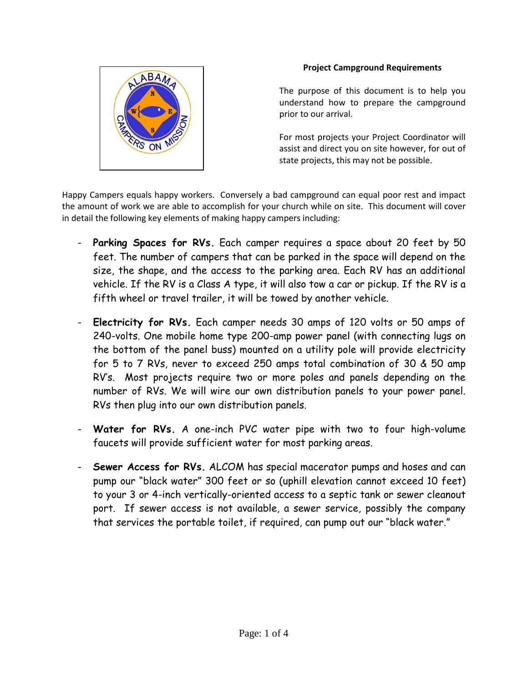

## **Project Campground Requirements**

The purpose of this document is to help you understand how to prepare the campground prior to our arrival.

For most projects your Project Coordinator will assist and direct you on site however, for out of state projects, this may not be possible.

Happy Campers equals happy workers. Conversely a bad campground can equal poor rest and impact the amount of work we are able to accomplish for your church while on site. This document will cover in detail the following key elements of making happy campers including:

- **Parking Spaces for RVs.** Each camper requires a space about 20 feet by 50 feet. The number of campers that can be parked in the space will depend on the size, the shape, and the access to the parking area. Each RV has an additional vehicle. If the RV is a Class A type, it will also tow a car or pickup. If the RV is a fifth wheel or travel trailer, it will be towed by another vehicle.
- **Electricity for RVs.** Each camper needs 30 amps of 120 volts or 50 amps of 240-volts. One mobile home type 200-amp power panel (with connecting lugs on the bottom of the panel buss) mounted on a utility pole will provide electricity for 5 to 7 RVs, never to exceed 250 amps total combination of 30 & 50 amp RV's. Most projects require two or more poles and panels depending on the number of RVs. We will wire our own distribution panels to your power panel. RVs then plug into our own distribution panels.
- **Water for RVs.** A one-inch PVC water pipe with two to four high-volume faucets will provide sufficient water for most parking areas.
- **Sewer Access for RVs.** ALCOM has special macerator pumps and hoses and can pump our "black water" 300 feet or so (uphill elevation cannot exceed 10 feet) to your 3 or 4-inch vertically-oriented access to a septic tank or sewer cleanout port. If sewer access is not available, a sewer service, possibly the company that services the portable toilet, if required, can pump out our "black water."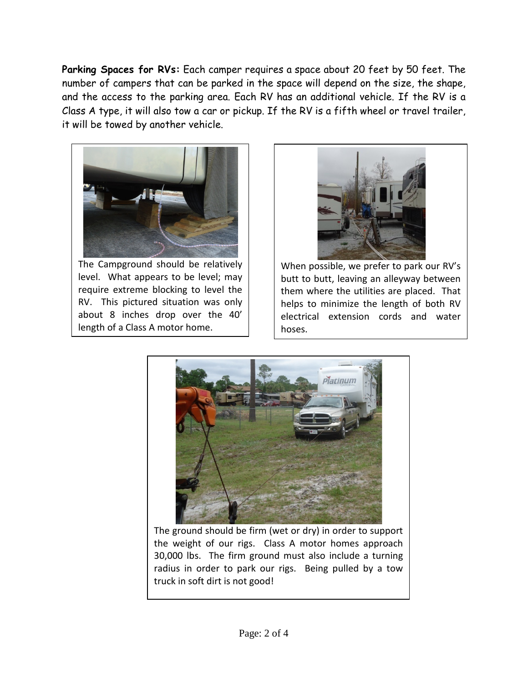Parking Spaces for RVs: Each camper requires a space about 20 feet by 50 feet. The number of campers that can be parked in the space will depend on the size, the shape, and the access to the parking area. Each RV has an additional vehicle. If the RV is a Class A type, it will also tow a car or pickup. If the RV is a fifth wheel or travel trailer, it will be towed by another vehicle.



The Campground should be relatively level. What appears to be level; may require extreme blocking to level the RV. This pictured situation was only about 8 inches drop over the 40' length of a Class A motor home.



When possible, we prefer to park our RV's butt to butt, leaving an alleyway between them where the utilities are placed. That helps to minimize the length of both RV electrical extension cords and water hoses.



The ground should be firm (wet or dry) in order to support the weight of our rigs. Class A motor homes approach 30,000 lbs. The firm ground must also include a turning radius in order to park our rigs. Being pulled by a tow truck in soft dirt is not good!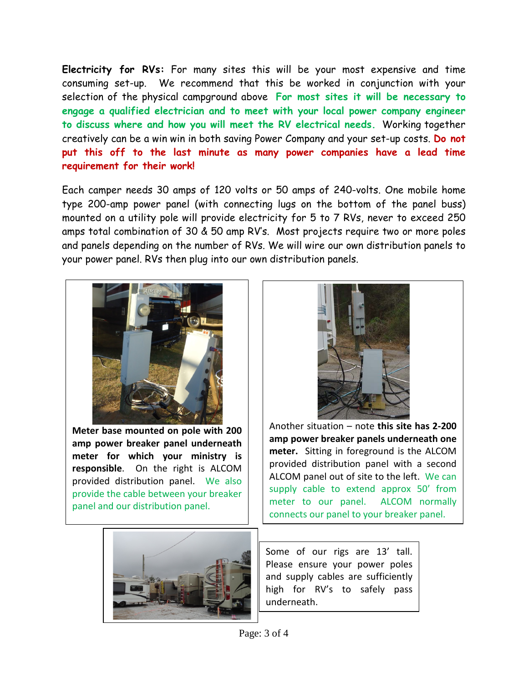**Electricity for RVs:** For many sites this will be your most expensive and time consuming set-up. We recommend that this be worked in conjunction with your selection of the physical campground above **For most sites it will be necessary to engage a qualified electrician and to meet with your local power company engineer to discuss where and how you will meet the RV electrical needs.** Working together creatively can be a win win in both saving Power Company and your set-up costs. **Do not put this off to the last minute as many power companies have a lead time requirement for their work!**

Each camper needs 30 amps of 120 volts or 50 amps of 240-volts. One mobile home type 200-amp power panel (with connecting lugs on the bottom of the panel buss) mounted on a utility pole will provide electricity for 5 to 7 RVs, never to exceed 250 amps total combination of 30 & 50 amp RV's. Most projects require two or more poles and panels depending on the number of RVs. We will wire our own distribution panels to your power panel. RVs then plug into our own distribution panels.



**Meter base mounted on pole with 200 amp power breaker panel underneath meter for which your ministry is responsible**. On the right is ALCOM provided distribution panel. We also provide the cable between your breaker panel and our distribution panel.



Another situation – note **this site has 2-200 amp power breaker panels underneath one meter.** Sitting in foreground is the ALCOM provided distribution panel with a second ALCOM panel out of site to the left. We can supply cable to extend approx 50' from meter to our panel. ALCOM normally connects our panel to your breaker panel.



Some of our rigs are 13' tall. Please ensure your power poles and supply cables are sufficiently high for RV's to safely pass underneath.